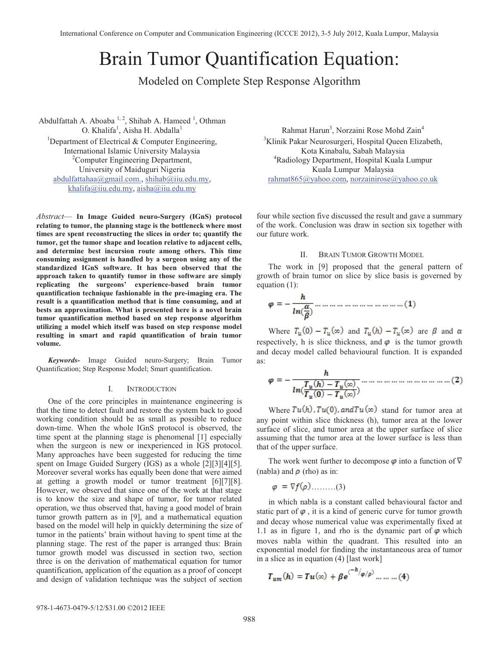# Brain Tumor Quantification Equation:

Modeled on Complete Step Response Algorithm

Abdulfattah A. Aboaba  $1, 2$ , Shihab A. Hameed  $1$ , Othman O. Khalifa<sup>1</sup>, Aisha H. Abdalla<sup>1</sup><br><sup>1</sup>Department of Electrical & Computer En <sup>1</sup>Department of Electrical & Computer Engineering, International Islamic University Malaysia 2 <sup>2</sup>Computer Engineering Department, University of Maiduguri Nigeria abdulfattahaa@gmail.com., shihab@iiu.edu.my, khalifa@iiu.edu.my, aisha@iiu.edu.my

*Abstract*— **In Image Guided neuro-Surgery (IGnS) protocol relating to tumor, the planning stage is the bottleneck where most times are spent reconstructing the slices in order to; quantify the tumor, get the tumor shape and location relative to adjacent cells, and determine best incursion route among others. This time consuming assignment is handled by a surgeon using any of the standardized IGnS software. It has been observed that the approach taken to quantify tumor in those software are simply replicating the surgeons' experience-based brain tumor quantification technique fashionable in the pre-imaging era. The result is a quantification method that is time consuming, and at bests an approximation. What is presented here is a novel brain tumor quantification method based on step response algorithm utilizing a model which itself was based on step response model resulting in smart and rapid quantification of brain tumor volume.** 

*Keywords-* Image Guided neuro-Surgery; Brain Tumor Quantification; Step Response Model; Smart quantification.

#### I. INTRODUCTION

One of the core principles in maintenance engineering is that the time to detect fault and restore the system back to good working condition should be as small as possible to reduce down-time. When the whole IGnS protocol is observed, the time spent at the planning stage is phenomenal [1] especially when the surgeon is new or inexperienced in IGS protocol. Many approaches have been suggested for reducing the time spent on Image Guided Surgery (IGS) as a whole [2][3][4][5]. Moreover several works has equally been done that were aimed at getting a growth model or tumor treatment [6][7][8]. However, we observed that since one of the work at that stage is to know the size and shape of tumor, for tumor related operation, we thus observed that, having a good model of brain tumor growth pattern as in [9], and a mathematical equation based on the model will help in quickly determining the size of tumor in the patients' brain without having to spent time at the planning stage. The rest of the paper is arranged thus: Brain tumor growth model was discussed in section two, section three is on the derivation of mathematical equation for tumor quantification, application of the equation as a proof of concept and design of validation technique was the subject of section

Rahmat Harun<sup>3</sup>, Norzaini Rose Mohd Zain<sup>4</sup> <sup>3</sup>Klinik Pakar Neurosurgeri, Hospital Queen Elizabeth, Kota Kinabalu, Sabah Malaysia 4 Radiology Department, Hospital Kuala Lumpur Kuala Lumpur Malaysia rahmat865@yahoo.com, norzainirose@yahoo.co.uk

four while section five discussed the result and gave a summary of the work. Conclusion was draw in section six together with our future work.

# II. BRAIN TUMOR GROWTH MODEL

The work in [9] proposed that the general pattern of growth of brain tumor on slice by slice basis is governed by equation (1):

$$
\varphi = -\frac{h}{ln(\frac{\alpha}{\beta})} \dots \dots \dots \dots \dots \dots \dots \dots \dots \dots \dots \dots (1)
$$

Where  $T_u(0) - T_u(\infty)$  and  $T_u(h) - T_u(\infty)$  are  $\beta$  and  $\alpha$ respectively, h is slice thickness, and  $\varphi$  is the tumor growth and decay model called behavioural function. It is expanded as:

Where  $Tu(h)$ ,  $Tu(0)$ , and  $Tu(\infty)$  stand for tumor area at any point within slice thickness (h), tumor area at the lower surface of slice, and tumor area at the upper surface of slice assuming that the tumor area at the lower surface is less than that of the upper surface.

The work went further to decompose  $\varphi$  into a function of  $\nabla$ (nabla) and  $\rho$  (rho) as in:

 $\varphi = \nabla f(\varphi)$ ........(3)

in which nabla is a constant called behavioural factor and static part of  $\varphi$ , it is a kind of generic curve for tumor growth and decay whose numerical value was experimentally fixed at 1.1 as in figure 1, and rho is the dynamic part of  $\varphi$  which moves nabla within the quadrant. This resulted into an exponential model for finding the instantaneous area of tumor in a slice as in equation (4) [last work]

$$
T_{um}(h) = T u(\infty) + \beta e^{(-h/\varphi/\rho)} \dots \dots \dots (4)
$$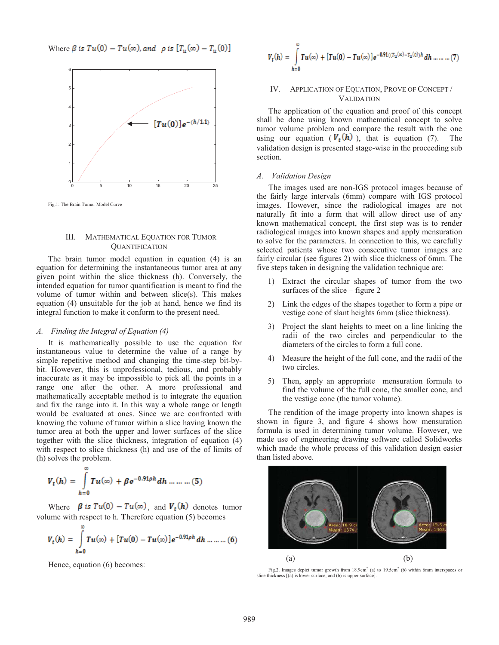Where  $\beta$  is  $Tu(0) - Tu(\infty)$ , and  $\rho$  is  $[T_u(\infty) - T_u(0)]$ 



Fig.1: The Brain Tumor Model Curve

## III. MATHEMATICAL EQUATION FOR TUMOR **QUANTIFICATION**

The brain tumor model equation in equation (4) is an equation for determining the instantaneous tumor area at any given point within the slice thickness (h). Conversely, the intended equation for tumor quantification is meant to find the volume of tumor within and between slice(s). This makes equation (4) unsuitable for the job at hand, hence we find its integral function to make it conform to the present need.

### *A. Finding the Integral of Equation (4)*

It is mathematically possible to use the equation for instantaneous value to determine the value of a range by simple repetitive method and changing the time-step bit-bybit. However, this is unprofessional, tedious, and probably inaccurate as it may be impossible to pick all the points in a range one after the other. A more professional and mathematically acceptable method is to integrate the equation and fix the range into it. In this way a whole range or length would be evaluated at ones. Since we are confronted with knowing the volume of tumor within a slice having known the tumor area at both the upper and lower surfaces of the slice together with the slice thickness, integration of equation (4) with respect to slice thickness (h) and use of the of limits of (h) solves the problem.

$$
V_t(h) = \int_{h=0}^{\infty} T u(\infty) + \beta e^{-0.91 \rho h} dh \dots \dots \dots (5)
$$

Where  $\beta$  is  $Tu(0) - Tu(\infty)$ , and  $V_t(h)$  denotes tumor volume with respect to h. **T**herefore equation (5) becomes

$$
V_t(h) = \int_{h=0}^{\infty} T u(\infty) + [T u(0) - T u(\infty)] e^{-0.91 \rho h} dh \dots \dots \dots (6)
$$

Hence, equation (6) becomes:

$$
V_t(h) = \int_{h=0}^{\infty} T u(\infty) + [T u(0) - T u(\infty)] e^{-0.91((T_u(\infty) - T_u(0))h} dh \dots \dots \dots (7)
$$

# IV. APPLICATION OF EQUATION, PROVE OF CONCEPT / VALIDATION

The application of the equation and proof of this concept shall be done using known mathematical concept to solve tumor volume problem and compare the result with the one using our equation ( $V_t(h)$ ), that is equation (7). The validation design is presented stage-wise in the proceeding sub section.

#### *A. Validation Design*

The images used are non-IGS protocol images because of the fairly large intervals (6mm) compare with IGS protocol images. However, since the radiological images are not naturally fit into a form that will allow direct use of any known mathematical concept, the first step was is to render radiological images into known shapes and apply mensuration to solve for the parameters. In connection to this, we carefully selected patients whose two consecutive tumor images are fairly circular (see figures 2) with slice thickness of 6mm. The five steps taken in designing the validation technique are:

- 1) Extract the circular shapes of tumor from the two surfaces of the slice – figure 2
- 2) Link the edges of the shapes together to form a pipe or vestige cone of slant heights 6mm (slice thickness).
- 3) Project the slant heights to meet on a line linking the radii of the two circles and perpendicular to the diameters of the circles to form a full cone.
- 4) Measure the height of the full cone, and the radii of the two circles.
- 5) Then, apply an appropriate mensuration formula to find the volume of the full cone, the smaller cone, and the vestige cone (the tumor volume).

The rendition of the image property into known shapes is shown in figure 3, and figure 4 shows how mensuration formula is used in determining tumor volume. However, we made use of engineering drawing software called Solidworks which made the whole process of this validation design easier than listed above.



Fig.2. Images depict tumor growth from 18.9cm<sup>2</sup> (a) to 19.5cm<sup>2</sup> (b) within 6mm interspaces or slice thickness [(a) is lower surface, and (b) is upper surface].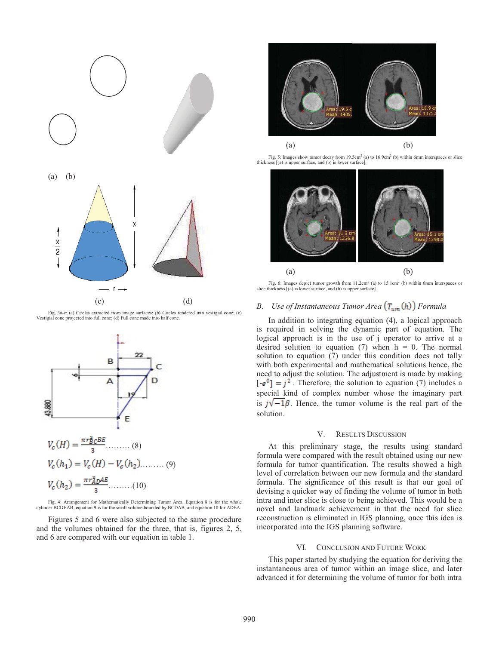

Fig. 3a-c: (a) Circles extracted from image surfaces; (b) Circles rendered into vestigial cone; (c) Vestigial cone projected into full cone; (d) Full cone made into half cone.



Fig. 4: Arrangement for Mathematically Determining Tumor Area. Equation 8 is for the whole cylinder BCDEAB, equation 9 is for the small volume bounded by BCDAB, and equation 10 for ADEA.

Figures 5 and 6 were also subjected to the same procedure and the volumes obtained for the three, that is, figures 2, 5, and 6 are compared with our equation in table 1.



Fig. 5: Images show tumor decay from  $19.5 \text{cm}^2$  (a) to  $16.9 \text{cm}^2$  (b) within 6mm interspaces or slice thickness [(a) is upper surface, and (b) is lower surface].



Fig. 6: Images depict tumor growth from  $11.2 \text{cm}^2$  (a) to  $15.1 \text{cm}^2$  (b) within 6mm interspaces or slice thickness [(a) is lower surface, and (b) is upper surface].

# *B. Use of Instantaneous Tumor Area*  $(T_{um}(h))$  *Formula*

In addition to integrating equation (4), a logical approach is required in solving the dynamic part of equation. The logical approach is in the use of j operator to arrive at a desired solution to equation (7) when  $h = 0$ . The normal solution to equation (7) under this condition does not tally with both experimental and mathematical solutions hence, the need to adjust the solution. The adjustment is made by making  $[-e^0] = j^2$ . Therefore, the solution to equation (7) includes a special kind of complex number whose the imaginary part is  $j\sqrt{-1\beta}$ . Hence, the tumor volume is the real part of the solution.

#### V. RESULTS DISCUSSION

At this preliminary stage, the results using standard formula were compared with the result obtained using our new formula for tumor quantification. The results showed a high level of correlation between our new formula and the standard formula. The significance of this result is that our goal of devising a quicker way of finding the volume of tumor in both intra and inter slice is close to being achieved. This would be a novel and landmark achievement in that the need for slice reconstruction is eliminated in IGS planning, once this idea is incorporated into the IGS planning software.

#### VI. CONCLUSION AND FUTURE WORK

This paper started by studying the equation for deriving the instantaneous area of tumor within an image slice, and later advanced it for determining the volume of tumor for both intra